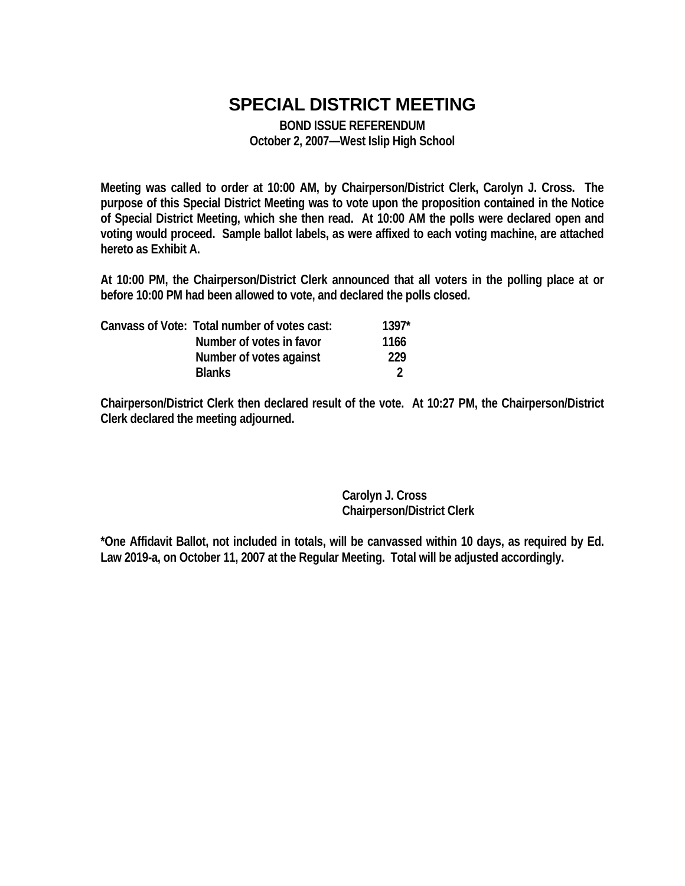# **SPECIAL DISTRICT MEETING**

**BOND ISSUE REFERENDUM October 2, 2007—West Islip High School** 

**Meeting was called to order at 10:00 AM, by Chairperson/District Clerk, Carolyn J. Cross. The purpose of this Special District Meeting was to vote upon the proposition contained in the Notice of Special District Meeting, which she then read. At 10:00 AM the polls were declared open and voting would proceed. Sample ballot labels, as were affixed to each voting machine, are attached hereto as Exhibit A.** 

**At 10:00 PM, the Chairperson/District Clerk announced that all voters in the polling place at or before 10:00 PM had been allowed to vote, and declared the polls closed.** 

|  | Canvass of Vote: Total number of votes cast: | $1397*$ |
|--|----------------------------------------------|---------|
|  | Number of votes in favor                     | 1166    |
|  | Number of votes against                      | 229     |
|  | <b>Blanks</b>                                |         |

**Chairperson/District Clerk then declared result of the vote. At 10:27 PM, the Chairperson/District Clerk declared the meeting adjourned.** 

> **Carolyn J. Cross Chairperson/District Clerk**

**\*One Affidavit Ballot, not included in totals, will be canvassed within 10 days, as required by Ed. Law 2019-a, on October 11, 2007 at the Regular Meeting. Total will be adjusted accordingly.**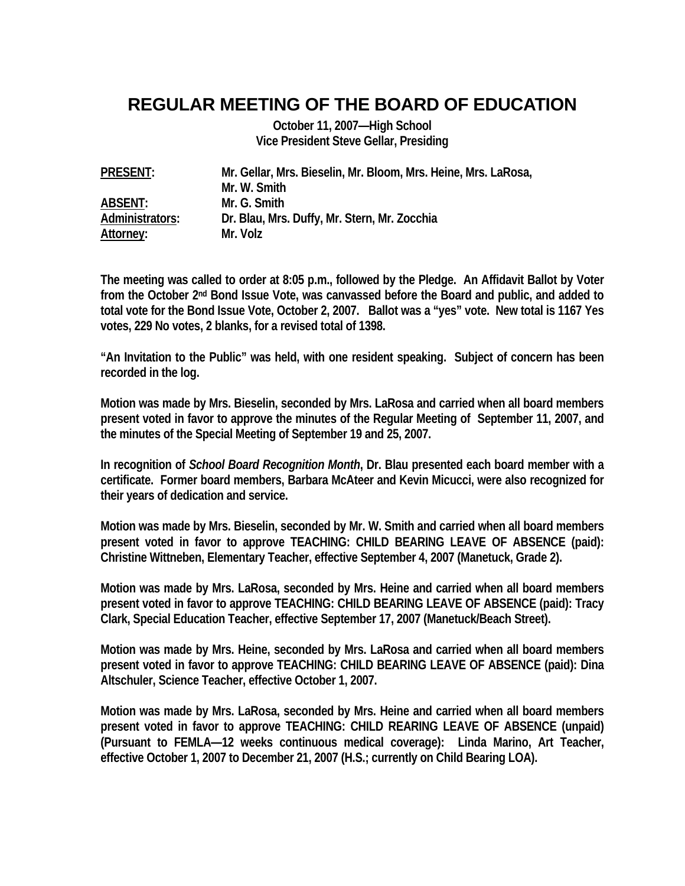### **REGULAR MEETING OF THE BOARD OF EDUCATION**

**October 11, 2007—High School Vice President Steve Gellar, Presiding** 

| <b>PRESENT:</b> | Mr. Gellar, Mrs. Bieselin, Mr. Bloom, Mrs. Heine, Mrs. LaRosa, |
|-----------------|----------------------------------------------------------------|
|                 | Mr. W. Smith                                                   |
| <b>ABSENT:</b>  | Mr. G. Smith                                                   |
| Administrators: | Dr. Blau, Mrs. Duffy, Mr. Stern, Mr. Zocchia                   |
| Attorney:       | Mr. Volz                                                       |

**The meeting was called to order at 8:05 p.m., followed by the Pledge. An Affidavit Ballot by Voter from the October 2nd Bond Issue Vote, was canvassed before the Board and public, and added to total vote for the Bond Issue Vote, October 2, 2007. Ballot was a "yes" vote. New total is 1167 Yes votes, 229 No votes, 2 blanks, for a revised total of 1398.** 

**"An Invitation to the Public" was held, with one resident speaking. Subject of concern has been recorded in the log.** 

**Motion was made by Mrs. Bieselin, seconded by Mrs. LaRosa and carried when all board members present voted in favor to approve the minutes of the Regular Meeting of September 11, 2007, and the minutes of the Special Meeting of September 19 and 25, 2007.** 

**In recognition of** *School Board Recognition Month***, Dr. Blau presented each board member with a certificate. Former board members, Barbara McAteer and Kevin Micucci, were also recognized for their years of dedication and service.** 

**Motion was made by Mrs. Bieselin, seconded by Mr. W. Smith and carried when all board members present voted in favor to approve TEACHING: CHILD BEARING LEAVE OF ABSENCE (paid): Christine Wittneben, Elementary Teacher, effective September 4, 2007 (Manetuck, Grade 2).** 

**Motion was made by Mrs. LaRosa, seconded by Mrs. Heine and carried when all board members present voted in favor to approve TEACHING: CHILD BEARING LEAVE OF ABSENCE (paid): Tracy Clark, Special Education Teacher, effective September 17, 2007 (Manetuck/Beach Street).** 

**Motion was made by Mrs. Heine, seconded by Mrs. LaRosa and carried when all board members present voted in favor to approve TEACHING: CHILD BEARING LEAVE OF ABSENCE (paid): Dina Altschuler, Science Teacher, effective October 1, 2007.** 

**Motion was made by Mrs. LaRosa, seconded by Mrs. Heine and carried when all board members present voted in favor to approve TEACHING: CHILD REARING LEAVE OF ABSENCE (unpaid) (Pursuant to FEMLA—12 weeks continuous medical coverage): Linda Marino, Art Teacher, effective October 1, 2007 to December 21, 2007 (H.S.; currently on Child Bearing LOA).**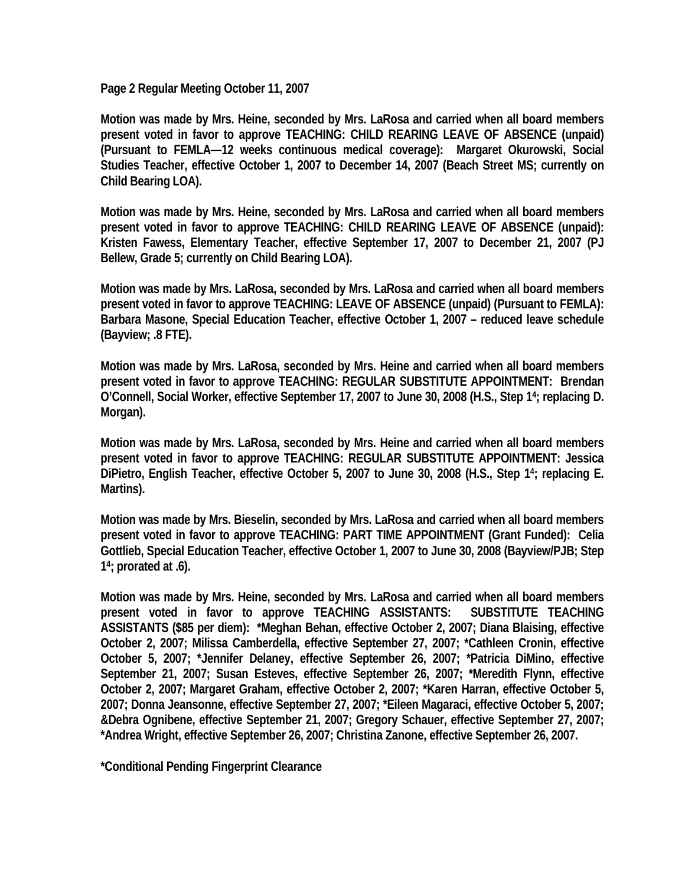**Page 2 Regular Meeting October 11, 2007** 

**Motion was made by Mrs. Heine, seconded by Mrs. LaRosa and carried when all board members present voted in favor to approve TEACHING: CHILD REARING LEAVE OF ABSENCE (unpaid) (Pursuant to FEMLA—12 weeks continuous medical coverage): Margaret Okurowski, Social Studies Teacher, effective October 1, 2007 to December 14, 2007 (Beach Street MS; currently on Child Bearing LOA).** 

**Motion was made by Mrs. Heine, seconded by Mrs. LaRosa and carried when all board members present voted in favor to approve TEACHING: CHILD REARING LEAVE OF ABSENCE (unpaid): Kristen Fawess, Elementary Teacher, effective September 17, 2007 to December 21, 2007 (PJ Bellew, Grade 5; currently on Child Bearing LOA).** 

**Motion was made by Mrs. LaRosa, seconded by Mrs. LaRosa and carried when all board members present voted in favor to approve TEACHING: LEAVE OF ABSENCE (unpaid) (Pursuant to FEMLA): Barbara Masone, Special Education Teacher, effective October 1, 2007 – reduced leave schedule (Bayview; .8 FTE).** 

**Motion was made by Mrs. LaRosa, seconded by Mrs. Heine and carried when all board members present voted in favor to approve TEACHING: REGULAR SUBSTITUTE APPOINTMENT: Brendan O'Connell, Social Worker, effective September 17, 2007 to June 30, 2008 (H.S., Step 14; replacing D. Morgan).** 

**Motion was made by Mrs. LaRosa, seconded by Mrs. Heine and carried when all board members present voted in favor to approve TEACHING: REGULAR SUBSTITUTE APPOINTMENT: Jessica DiPietro, English Teacher, effective October 5, 2007 to June 30, 2008 (H.S., Step 14; replacing E. Martins).** 

**Motion was made by Mrs. Bieselin, seconded by Mrs. LaRosa and carried when all board members present voted in favor to approve TEACHING: PART TIME APPOINTMENT (Grant Funded): Celia Gottlieb, Special Education Teacher, effective October 1, 2007 to June 30, 2008 (Bayview/PJB; Step 14; prorated at .6).** 

**Motion was made by Mrs. Heine, seconded by Mrs. LaRosa and carried when all board members present voted in favor to approve TEACHING ASSISTANTS: SUBSTITUTE TEACHING ASSISTANTS (\$85 per diem): \*Meghan Behan, effective October 2, 2007; Diana Blaising, effective October 2, 2007; Milissa Camberdella, effective September 27, 2007; \*Cathleen Cronin, effective October 5, 2007; \*Jennifer Delaney, effective September 26, 2007; \*Patricia DiMino, effective September 21, 2007; Susan Esteves, effective September 26, 2007; \*Meredith Flynn, effective October 2, 2007; Margaret Graham, effective October 2, 2007; \*Karen Harran, effective October 5, 2007; Donna Jeansonne, effective September 27, 2007; \*Eileen Magaraci, effective October 5, 2007; &Debra Ognibene, effective September 21, 2007; Gregory Schauer, effective September 27, 2007; \*Andrea Wright, effective September 26, 2007; Christina Zanone, effective September 26, 2007.** 

**\*Conditional Pending Fingerprint Clearance**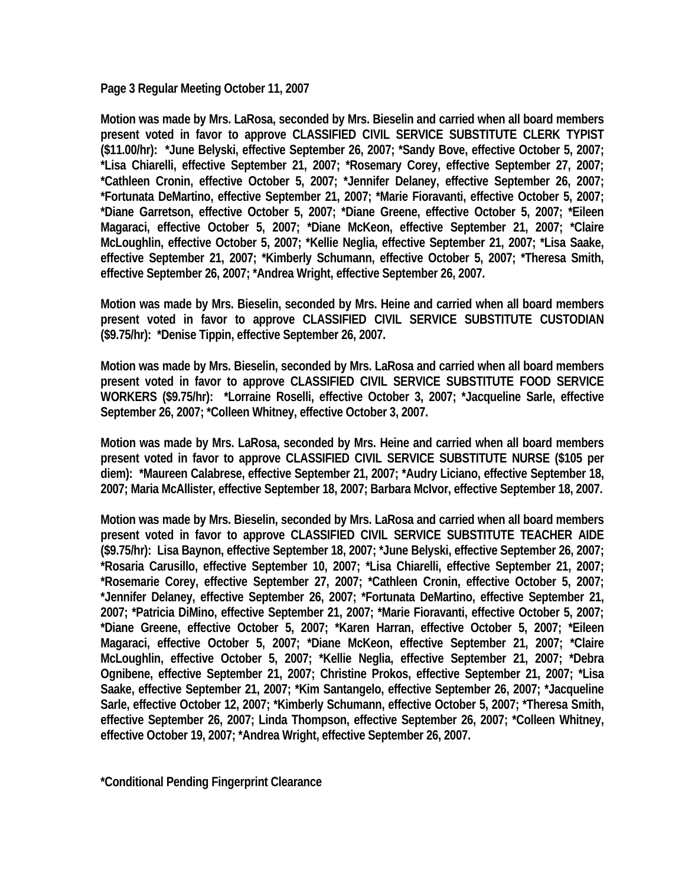**Page 3 Regular Meeting October 11, 2007** 

**Motion was made by Mrs. LaRosa, seconded by Mrs. Bieselin and carried when all board members present voted in favor to approve CLASSIFIED CIVIL SERVICE SUBSTITUTE CLERK TYPIST (\$11.00/hr): \*June Belyski, effective September 26, 2007; \*Sandy Bove, effective October 5, 2007; \*Lisa Chiarelli, effective September 21, 2007; \*Rosemary Corey, effective September 27, 2007; \*Cathleen Cronin, effective October 5, 2007; \*Jennifer Delaney, effective September 26, 2007; \*Fortunata DeMartino, effective September 21, 2007; \*Marie Fioravanti, effective October 5, 2007; \*Diane Garretson, effective October 5, 2007; \*Diane Greene, effective October 5, 2007; \*Eileen Magaraci, effective October 5, 2007; \*Diane McKeon, effective September 21, 2007; \*Claire McLoughlin, effective October 5, 2007; \*Kellie Neglia, effective September 21, 2007; \*Lisa Saake, effective September 21, 2007; \*Kimberly Schumann, effective October 5, 2007; \*Theresa Smith, effective September 26, 2007; \*Andrea Wright, effective September 26, 2007.** 

**Motion was made by Mrs. Bieselin, seconded by Mrs. Heine and carried when all board members present voted in favor to approve CLASSIFIED CIVIL SERVICE SUBSTITUTE CUSTODIAN (\$9.75/hr): \*Denise Tippin, effective September 26, 2007.** 

**Motion was made by Mrs. Bieselin, seconded by Mrs. LaRosa and carried when all board members present voted in favor to approve CLASSIFIED CIVIL SERVICE SUBSTITUTE FOOD SERVICE WORKERS (\$9.75/hr): \*Lorraine Roselli, effective October 3, 2007; \*Jacqueline Sarle, effective September 26, 2007; \*Colleen Whitney, effective October 3, 2007.** 

**Motion was made by Mrs. LaRosa, seconded by Mrs. Heine and carried when all board members present voted in favor to approve CLASSIFIED CIVIL SERVICE SUBSTITUTE NURSE (\$105 per diem): \*Maureen Calabrese, effective September 21, 2007; \*Audry Liciano, effective September 18, 2007; Maria McAllister, effective September 18, 2007; Barbara McIvor, effective September 18, 2007.** 

**Motion was made by Mrs. Bieselin, seconded by Mrs. LaRosa and carried when all board members present voted in favor to approve CLASSIFIED CIVIL SERVICE SUBSTITUTE TEACHER AIDE (\$9.75/hr): Lisa Baynon, effective September 18, 2007; \*June Belyski, effective September 26, 2007; \*Rosaria Carusillo, effective September 10, 2007; \*Lisa Chiarelli, effective September 21, 2007; \*Rosemarie Corey, effective September 27, 2007; \*Cathleen Cronin, effective October 5, 2007; \*Jennifer Delaney, effective September 26, 2007; \*Fortunata DeMartino, effective September 21, 2007; \*Patricia DiMino, effective September 21, 2007; \*Marie Fioravanti, effective October 5, 2007; \*Diane Greene, effective October 5, 2007; \*Karen Harran, effective October 5, 2007; \*Eileen Magaraci, effective October 5, 2007; \*Diane McKeon, effective September 21, 2007; \*Claire McLoughlin, effective October 5, 2007; \*Kellie Neglia, effective September 21, 2007; \*Debra Ognibene, effective September 21, 2007; Christine Prokos, effective September 21, 2007; \*Lisa Saake, effective September 21, 2007; \*Kim Santangelo, effective September 26, 2007; \*Jacqueline Sarle, effective October 12, 2007; \*Kimberly Schumann, effective October 5, 2007; \*Theresa Smith, effective September 26, 2007; Linda Thompson, effective September 26, 2007; \*Colleen Whitney, effective October 19, 2007; \*Andrea Wright, effective September 26, 2007.** 

**\*Conditional Pending Fingerprint Clearance**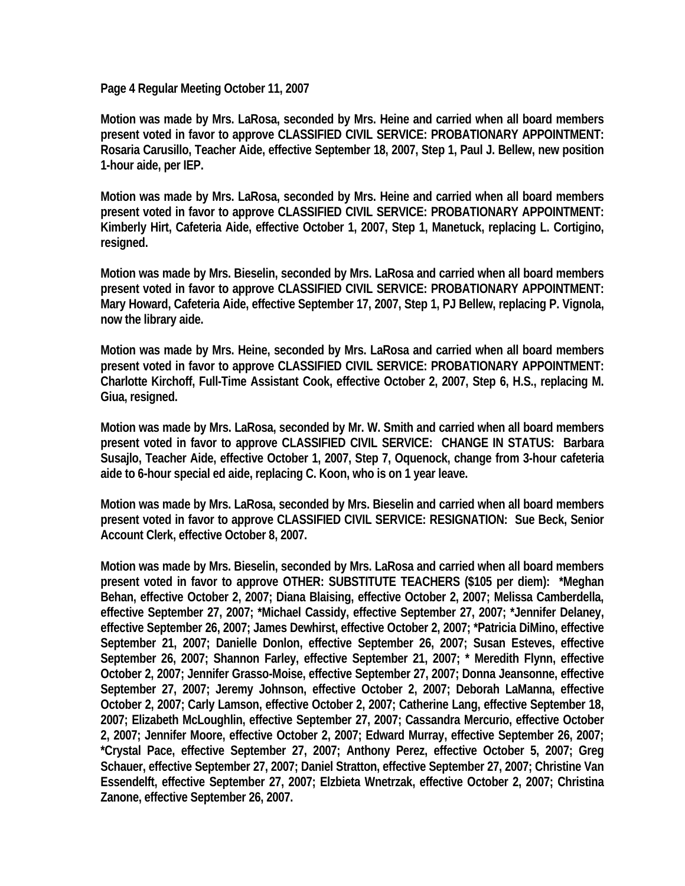**Page 4 Regular Meeting October 11, 2007** 

**Motion was made by Mrs. LaRosa, seconded by Mrs. Heine and carried when all board members present voted in favor to approve CLASSIFIED CIVIL SERVICE: PROBATIONARY APPOINTMENT: Rosaria Carusillo, Teacher Aide, effective September 18, 2007, Step 1, Paul J. Bellew, new position 1-hour aide, per IEP.** 

**Motion was made by Mrs. LaRosa, seconded by Mrs. Heine and carried when all board members present voted in favor to approve CLASSIFIED CIVIL SERVICE: PROBATIONARY APPOINTMENT: Kimberly Hirt, Cafeteria Aide, effective October 1, 2007, Step 1, Manetuck, replacing L. Cortigino, resigned.** 

**Motion was made by Mrs. Bieselin, seconded by Mrs. LaRosa and carried when all board members present voted in favor to approve CLASSIFIED CIVIL SERVICE: PROBATIONARY APPOINTMENT: Mary Howard, Cafeteria Aide, effective September 17, 2007, Step 1, PJ Bellew, replacing P. Vignola, now the library aide.** 

**Motion was made by Mrs. Heine, seconded by Mrs. LaRosa and carried when all board members present voted in favor to approve CLASSIFIED CIVIL SERVICE: PROBATIONARY APPOINTMENT: Charlotte Kirchoff, Full-Time Assistant Cook, effective October 2, 2007, Step 6, H.S., replacing M. Giua, resigned.** 

**Motion was made by Mrs. LaRosa, seconded by Mr. W. Smith and carried when all board members present voted in favor to approve CLASSIFIED CIVIL SERVICE: CHANGE IN STATUS: Barbara Susajlo, Teacher Aide, effective October 1, 2007, Step 7, Oquenock, change from 3-hour cafeteria aide to 6-hour special ed aide, replacing C. Koon, who is on 1 year leave.** 

**Motion was made by Mrs. LaRosa, seconded by Mrs. Bieselin and carried when all board members present voted in favor to approve CLASSIFIED CIVIL SERVICE: RESIGNATION: Sue Beck, Senior Account Clerk, effective October 8, 2007.** 

**Motion was made by Mrs. Bieselin, seconded by Mrs. LaRosa and carried when all board members present voted in favor to approve OTHER: SUBSTITUTE TEACHERS (\$105 per diem): \*Meghan Behan, effective October 2, 2007; Diana Blaising, effective October 2, 2007; Melissa Camberdella, effective September 27, 2007; \*Michael Cassidy, effective September 27, 2007; \*Jennifer Delaney, effective September 26, 2007; James Dewhirst, effective October 2, 2007; \*Patricia DiMino, effective September 21, 2007; Danielle Donlon, effective September 26, 2007; Susan Esteves, effective September 26, 2007; Shannon Farley, effective September 21, 2007; \* Meredith Flynn, effective October 2, 2007; Jennifer Grasso-Moise, effective September 27, 2007; Donna Jeansonne, effective September 27, 2007; Jeremy Johnson, effective October 2, 2007; Deborah LaManna, effective October 2, 2007; Carly Lamson, effective October 2, 2007; Catherine Lang, effective September 18, 2007; Elizabeth McLoughlin, effective September 27, 2007; Cassandra Mercurio, effective October 2, 2007; Jennifer Moore, effective October 2, 2007; Edward Murray, effective September 26, 2007; \*Crystal Pace, effective September 27, 2007; Anthony Perez, effective October 5, 2007; Greg Schauer, effective September 27, 2007; Daniel Stratton, effective September 27, 2007; Christine Van Essendelft, effective September 27, 2007; Elzbieta Wnetrzak, effective October 2, 2007; Christina Zanone, effective September 26, 2007.**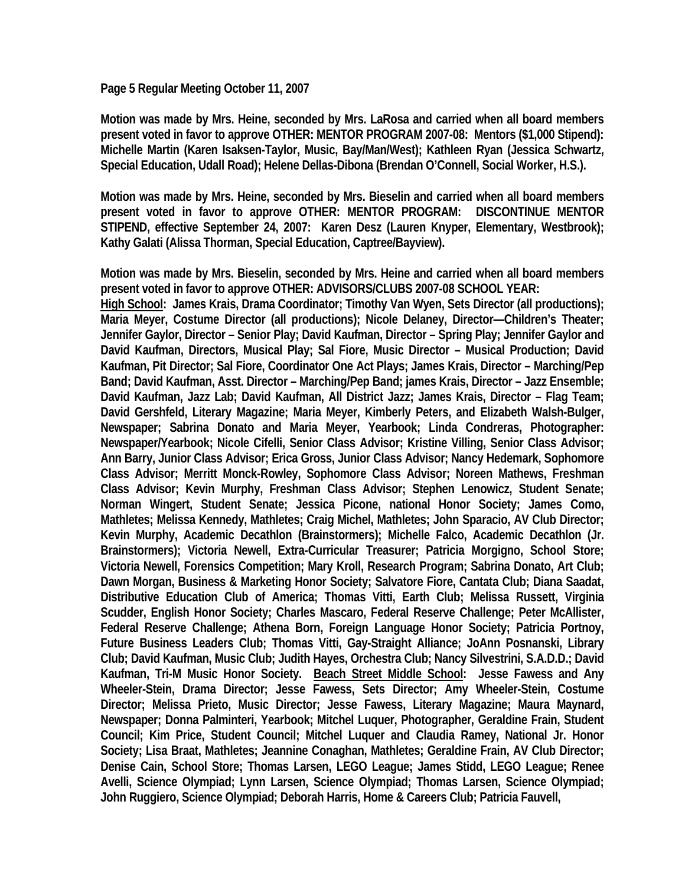#### **Page 5 Regular Meeting October 11, 2007**

**Motion was made by Mrs. Heine, seconded by Mrs. LaRosa and carried when all board members present voted in favor to approve OTHER: MENTOR PROGRAM 2007-08: Mentors (\$1,000 Stipend): Michelle Martin (Karen Isaksen-Taylor, Music, Bay/Man/West); Kathleen Ryan (Jessica Schwartz, Special Education, Udall Road); Helene Dellas-Dibona (Brendan O'Connell, Social Worker, H.S.).** 

**Motion was made by Mrs. Heine, seconded by Mrs. Bieselin and carried when all board members present voted in favor to approve OTHER: MENTOR PROGRAM: DISCONTINUE MENTOR STIPEND, effective September 24, 2007: Karen Desz (Lauren Knyper, Elementary, Westbrook); Kathy Galati (Alissa Thorman, Special Education, Captree/Bayview).** 

**Motion was made by Mrs. Bieselin, seconded by Mrs. Heine and carried when all board members present voted in favor to approve OTHER: ADVISORS/CLUBS 2007-08 SCHOOL YEAR:** 

**High School: James Krais, Drama Coordinator; Timothy Van Wyen, Sets Director (all productions); Maria Meyer, Costume Director (all productions); Nicole Delaney, Director—Children's Theater; Jennifer Gaylor, Director – Senior Play; David Kaufman, Director – Spring Play; Jennifer Gaylor and David Kaufman, Directors, Musical Play; Sal Fiore, Music Director – Musical Production; David Kaufman, Pit Director; Sal Fiore, Coordinator One Act Plays; James Krais, Director – Marching/Pep Band; David Kaufman, Asst. Director – Marching/Pep Band; james Krais, Director – Jazz Ensemble; David Kaufman, Jazz Lab; David Kaufman, All District Jazz; James Krais, Director – Flag Team; David Gershfeld, Literary Magazine; Maria Meyer, Kimberly Peters, and Elizabeth Walsh-Bulger, Newspaper; Sabrina Donato and Maria Meyer, Yearbook; Linda Condreras, Photographer: Newspaper/Yearbook; Nicole Cifelli, Senior Class Advisor; Kristine Villing, Senior Class Advisor; Ann Barry, Junior Class Advisor; Erica Gross, Junior Class Advisor; Nancy Hedemark, Sophomore Class Advisor; Merritt Monck-Rowley, Sophomore Class Advisor; Noreen Mathews, Freshman Class Advisor; Kevin Murphy, Freshman Class Advisor; Stephen Lenowicz, Student Senate; Norman Wingert, Student Senate; Jessica Picone, national Honor Society; James Como, Mathletes; Melissa Kennedy, Mathletes; Craig Michel, Mathletes; John Sparacio, AV Club Director; Kevin Murphy, Academic Decathlon (Brainstormers); Michelle Falco, Academic Decathlon (Jr. Brainstormers); Victoria Newell, Extra-Curricular Treasurer; Patricia Morgigno, School Store; Victoria Newell, Forensics Competition; Mary Kroll, Research Program; Sabrina Donato, Art Club; Dawn Morgan, Business & Marketing Honor Society; Salvatore Fiore, Cantata Club; Diana Saadat, Distributive Education Club of America; Thomas Vitti, Earth Club; Melissa Russett, Virginia Scudder, English Honor Society; Charles Mascaro, Federal Reserve Challenge; Peter McAllister, Federal Reserve Challenge; Athena Born, Foreign Language Honor Society; Patricia Portnoy, Future Business Leaders Club; Thomas Vitti, Gay-Straight Alliance; JoAnn Posnanski, Library Club; David Kaufman, Music Club; Judith Hayes, Orchestra Club; Nancy Silvestrini, S.A.D.D.; David Kaufman, Tri-M Music Honor Society. Beach Street Middle School: Jesse Fawess and Any Wheeler-Stein, Drama Director; Jesse Fawess, Sets Director; Amy Wheeler-Stein, Costume Director; Melissa Prieto, Music Director; Jesse Fawess, Literary Magazine; Maura Maynard, Newspaper; Donna Palminteri, Yearbook; Mitchel Luquer, Photographer, Geraldine Frain, Student Council; Kim Price, Student Council; Mitchel Luquer and Claudia Ramey, National Jr. Honor Society; Lisa Braat, Mathletes; Jeannine Conaghan, Mathletes; Geraldine Frain, AV Club Director; Denise Cain, School Store; Thomas Larsen, LEGO League; James Stidd, LEGO League; Renee Avelli, Science Olympiad; Lynn Larsen, Science Olympiad; Thomas Larsen, Science Olympiad; John Ruggiero, Science Olympiad; Deborah Harris, Home & Careers Club; Patricia Fauvell,**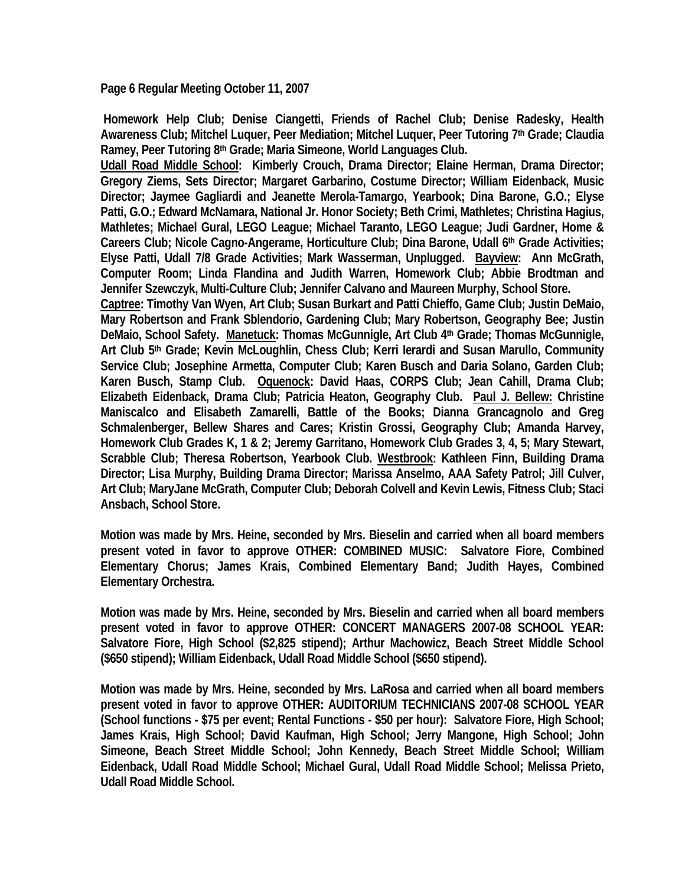**Page 6 Regular Meeting October 11, 2007** 

 **Homework Help Club; Denise Ciangetti, Friends of Rachel Club; Denise Radesky, Health Awareness Club; Mitchel Luquer, Peer Mediation; Mitchel Luquer, Peer Tutoring 7th Grade; Claudia Ramey, Peer Tutoring 8th Grade; Maria Simeone, World Languages Club.** 

**Udall Road Middle School: Kimberly Crouch, Drama Director; Elaine Herman, Drama Director; Gregory Ziems, Sets Director; Margaret Garbarino, Costume Director; William Eidenback, Music Director; Jaymee Gagliardi and Jeanette Merola-Tamargo, Yearbook; Dina Barone, G.O.; Elyse Patti, G.O.; Edward McNamara, National Jr. Honor Society; Beth Crimi, Mathletes; Christina Hagius, Mathletes; Michael Gural, LEGO League; Michael Taranto, LEGO League; Judi Gardner, Home & Careers Club; Nicole Cagno-Angerame, Horticulture Club; Dina Barone, Udall 6th Grade Activities; Elyse Patti, Udall 7/8 Grade Activities; Mark Wasserman, Unplugged. Bayview: Ann McGrath, Computer Room; Linda Flandina and Judith Warren, Homework Club; Abbie Brodtman and Jennifer Szewczyk, Multi-Culture Club; Jennifer Calvano and Maureen Murphy, School Store.** 

**Captree: Timothy Van Wyen, Art Club; Susan Burkart and Patti Chieffo, Game Club; Justin DeMaio, Mary Robertson and Frank Sblendorio, Gardening Club; Mary Robertson, Geography Bee; Justin DeMaio, School Safety. Manetuck: Thomas McGunnigle, Art Club 4th Grade; Thomas McGunnigle, Art Club 5th Grade; Kevin McLoughlin, Chess Club; Kerri Ierardi and Susan Marullo, Community Service Club; Josephine Armetta, Computer Club; Karen Busch and Daria Solano, Garden Club; Karen Busch, Stamp Club. Oquenock: David Haas, CORPS Club; Jean Cahill, Drama Club; Elizabeth Eidenback, Drama Club; Patricia Heaton, Geography Club. Paul J. Bellew: Christine Maniscalco and Elisabeth Zamarelli, Battle of the Books; Dianna Grancagnolo and Greg Schmalenberger, Bellew Shares and Cares; Kristin Grossi, Geography Club; Amanda Harvey, Homework Club Grades K, 1 & 2; Jeremy Garritano, Homework Club Grades 3, 4, 5; Mary Stewart, Scrabble Club; Theresa Robertson, Yearbook Club. Westbrook: Kathleen Finn, Building Drama Director; Lisa Murphy, Building Drama Director; Marissa Anselmo, AAA Safety Patrol; Jill Culver, Art Club; MaryJane McGrath, Computer Club; Deborah Colvell and Kevin Lewis, Fitness Club; Staci Ansbach, School Store.** 

**Motion was made by Mrs. Heine, seconded by Mrs. Bieselin and carried when all board members present voted in favor to approve OTHER: COMBINED MUSIC: Salvatore Fiore, Combined Elementary Chorus; James Krais, Combined Elementary Band; Judith Hayes, Combined Elementary Orchestra.** 

**Motion was made by Mrs. Heine, seconded by Mrs. Bieselin and carried when all board members present voted in favor to approve OTHER: CONCERT MANAGERS 2007-08 SCHOOL YEAR: Salvatore Fiore, High School (\$2,825 stipend); Arthur Machowicz, Beach Street Middle School (\$650 stipend); William Eidenback, Udall Road Middle School (\$650 stipend).** 

**Motion was made by Mrs. Heine, seconded by Mrs. LaRosa and carried when all board members present voted in favor to approve OTHER: AUDITORIUM TECHNICIANS 2007-08 SCHOOL YEAR (School functions - \$75 per event; Rental Functions - \$50 per hour): Salvatore Fiore, High School; James Krais, High School; David Kaufman, High School; Jerry Mangone, High School; John Simeone, Beach Street Middle School; John Kennedy, Beach Street Middle School; William Eidenback, Udall Road Middle School; Michael Gural, Udall Road Middle School; Melissa Prieto, Udall Road Middle School.**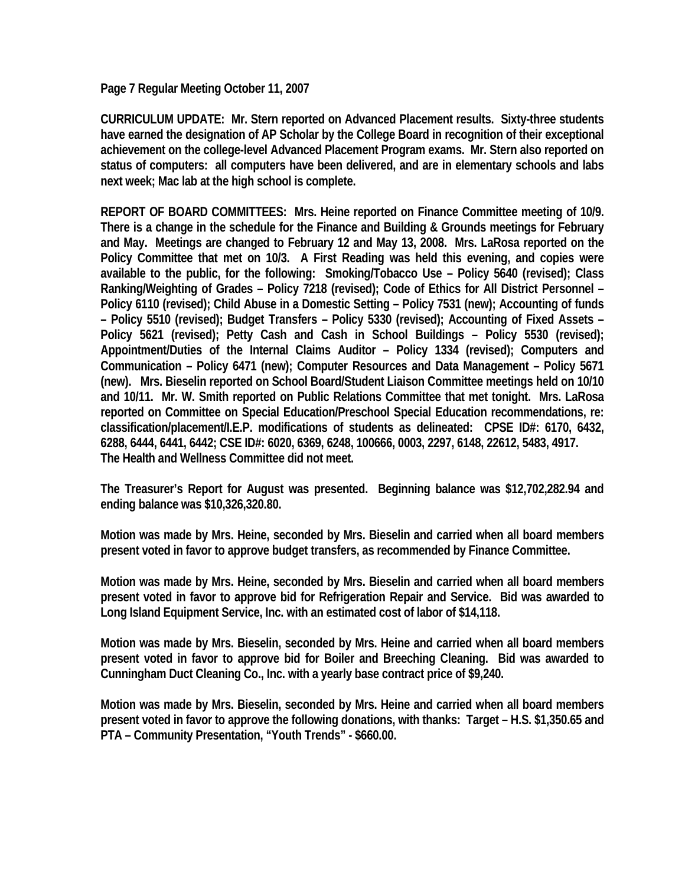**Page 7 Regular Meeting October 11, 2007** 

**CURRICULUM UPDATE: Mr. Stern reported on Advanced Placement results. Sixty-three students have earned the designation of AP Scholar by the College Board in recognition of their exceptional achievement on the college-level Advanced Placement Program exams. Mr. Stern also reported on status of computers: all computers have been delivered, and are in elementary schools and labs next week; Mac lab at the high school is complete.** 

**REPORT OF BOARD COMMITTEES: Mrs. Heine reported on Finance Committee meeting of 10/9. There is a change in the schedule for the Finance and Building & Grounds meetings for February and May. Meetings are changed to February 12 and May 13, 2008. Mrs. LaRosa reported on the Policy Committee that met on 10/3. A First Reading was held this evening, and copies were available to the public, for the following: Smoking/Tobacco Use – Policy 5640 (revised); Class Ranking/Weighting of Grades – Policy 7218 (revised); Code of Ethics for All District Personnel – Policy 6110 (revised); Child Abuse in a Domestic Setting – Policy 7531 (new); Accounting of funds – Policy 5510 (revised); Budget Transfers – Policy 5330 (revised); Accounting of Fixed Assets – Policy 5621 (revised); Petty Cash and Cash in School Buildings – Policy 5530 (revised); Appointment/Duties of the Internal Claims Auditor – Policy 1334 (revised); Computers and Communication – Policy 6471 (new); Computer Resources and Data Management – Policy 5671 (new). Mrs. Bieselin reported on School Board/Student Liaison Committee meetings held on 10/10 and 10/11. Mr. W. Smith reported on Public Relations Committee that met tonight. Mrs. LaRosa reported on Committee on Special Education/Preschool Special Education recommendations, re: classification/placement/I.E.P. modifications of students as delineated: CPSE ID#: 6170, 6432, 6288, 6444, 6441, 6442; CSE ID#: 6020, 6369, 6248, 100666, 0003, 2297, 6148, 22612, 5483, 4917. The Health and Wellness Committee did not meet.** 

**The Treasurer's Report for August was presented. Beginning balance was \$12,702,282.94 and ending balance was \$10,326,320.80.** 

**Motion was made by Mrs. Heine, seconded by Mrs. Bieselin and carried when all board members present voted in favor to approve budget transfers, as recommended by Finance Committee.** 

**Motion was made by Mrs. Heine, seconded by Mrs. Bieselin and carried when all board members present voted in favor to approve bid for Refrigeration Repair and Service. Bid was awarded to Long Island Equipment Service, Inc. with an estimated cost of labor of \$14,118.** 

**Motion was made by Mrs. Bieselin, seconded by Mrs. Heine and carried when all board members present voted in favor to approve bid for Boiler and Breeching Cleaning. Bid was awarded to Cunningham Duct Cleaning Co., Inc. with a yearly base contract price of \$9,240.** 

**Motion was made by Mrs. Bieselin, seconded by Mrs. Heine and carried when all board members present voted in favor to approve the following donations, with thanks: Target – H.S. \$1,350.65 and PTA – Community Presentation, "Youth Trends" - \$660.00.**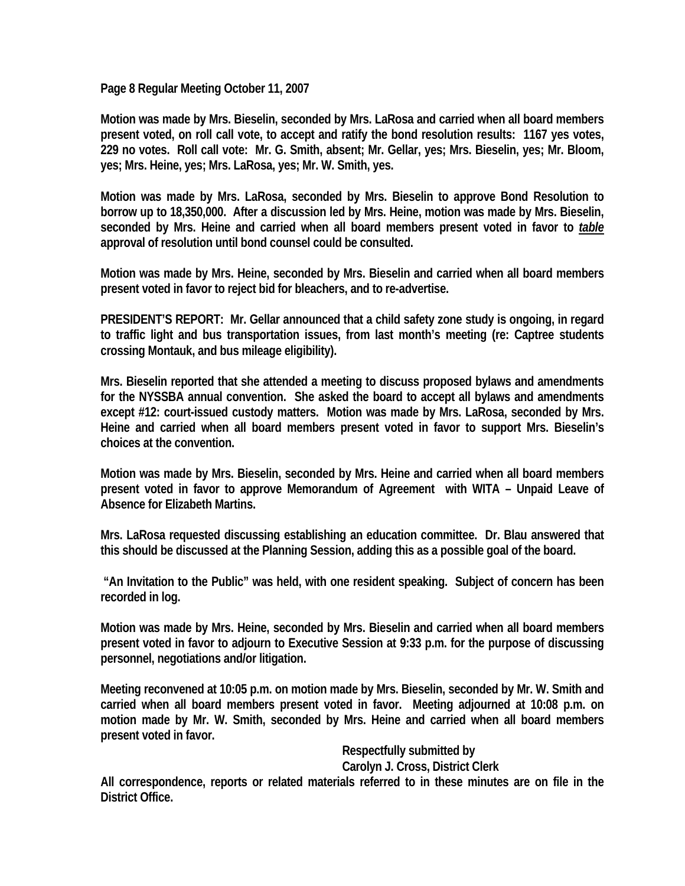**Page 8 Regular Meeting October 11, 2007** 

**Motion was made by Mrs. Bieselin, seconded by Mrs. LaRosa and carried when all board members present voted, on roll call vote, to accept and ratify the bond resolution results: 1167 yes votes, 229 no votes. Roll call vote: Mr. G. Smith, absent; Mr. Gellar, yes; Mrs. Bieselin, yes; Mr. Bloom, yes; Mrs. Heine, yes; Mrs. LaRosa, yes; Mr. W. Smith, yes.** 

**Motion was made by Mrs. LaRosa, seconded by Mrs. Bieselin to approve Bond Resolution to borrow up to 18,350,000. After a discussion led by Mrs. Heine, motion was made by Mrs. Bieselin,**  seconded by Mrs. Heine and carried when all board members present voted in favor to *table* **approval of resolution until bond counsel could be consulted.** 

**Motion was made by Mrs. Heine, seconded by Mrs. Bieselin and carried when all board members present voted in favor to reject bid for bleachers, and to re-advertise.** 

**PRESIDENT'S REPORT: Mr. Gellar announced that a child safety zone study is ongoing, in regard to traffic light and bus transportation issues, from last month's meeting (re: Captree students crossing Montauk, and bus mileage eligibility).** 

**Mrs. Bieselin reported that she attended a meeting to discuss proposed bylaws and amendments for the NYSSBA annual convention. She asked the board to accept all bylaws and amendments except #12: court-issued custody matters. Motion was made by Mrs. LaRosa, seconded by Mrs. Heine and carried when all board members present voted in favor to support Mrs. Bieselin's choices at the convention.** 

**Motion was made by Mrs. Bieselin, seconded by Mrs. Heine and carried when all board members present voted in favor to approve Memorandum of Agreement with WITA – Unpaid Leave of Absence for Elizabeth Martins.** 

**Mrs. LaRosa requested discussing establishing an education committee. Dr. Blau answered that this should be discussed at the Planning Session, adding this as a possible goal of the board.** 

 **"An Invitation to the Public" was held, with one resident speaking. Subject of concern has been recorded in log.** 

**Motion was made by Mrs. Heine, seconded by Mrs. Bieselin and carried when all board members present voted in favor to adjourn to Executive Session at 9:33 p.m. for the purpose of discussing personnel, negotiations and/or litigation.** 

**Meeting reconvened at 10:05 p.m. on motion made by Mrs. Bieselin, seconded by Mr. W. Smith and carried when all board members present voted in favor. Meeting adjourned at 10:08 p.m. on motion made by Mr. W. Smith, seconded by Mrs. Heine and carried when all board members present voted in favor.** 

> **Respectfully submitted by Carolyn J. Cross, District Clerk**

**All correspondence, reports or related materials referred to in these minutes are on file in the District Office.**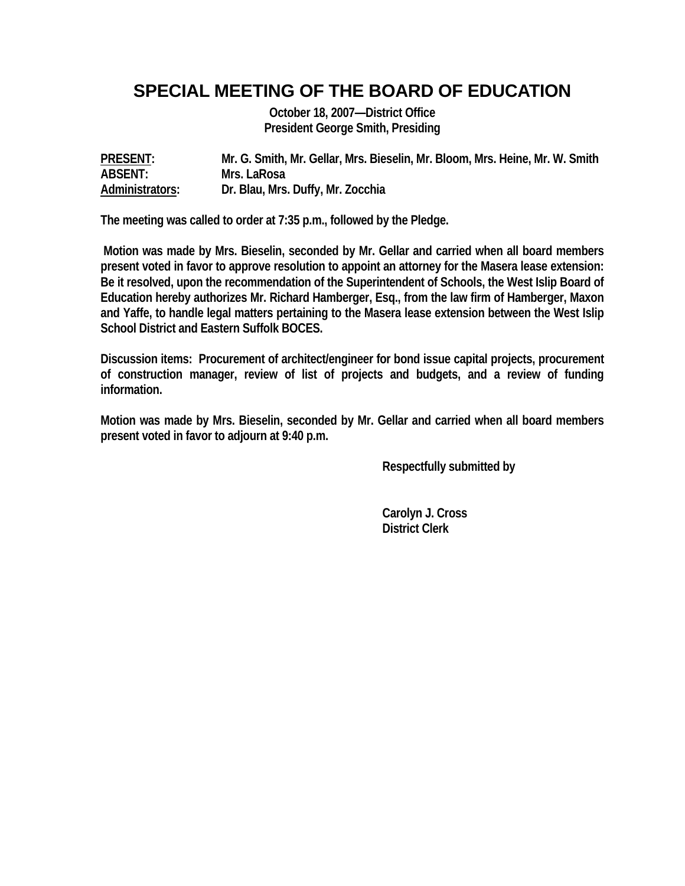### **SPECIAL MEETING OF THE BOARD OF EDUCATION**

**October 18, 2007—District Office President George Smith, Presiding** 

**PRESENT: Mr. G. Smith, Mr. Gellar, Mrs. Bieselin, Mr. Bloom, Mrs. Heine, Mr. W. Smith ABSENT: Mrs. LaRosa Administrators: Dr. Blau, Mrs. Duffy, Mr. Zocchia** 

**The meeting was called to order at 7:35 p.m., followed by the Pledge.** 

 **Motion was made by Mrs. Bieselin, seconded by Mr. Gellar and carried when all board members present voted in favor to approve resolution to appoint an attorney for the Masera lease extension: Be it resolved, upon the recommendation of the Superintendent of Schools, the West Islip Board of Education hereby authorizes Mr. Richard Hamberger, Esq., from the law firm of Hamberger, Maxon and Yaffe, to handle legal matters pertaining to the Masera lease extension between the West Islip School District and Eastern Suffolk BOCES.** 

**Discussion items: Procurement of architect/engineer for bond issue capital projects, procurement of construction manager, review of list of projects and budgets, and a review of funding information.** 

**Motion was made by Mrs. Bieselin, seconded by Mr. Gellar and carried when all board members present voted in favor to adjourn at 9:40 p.m.** 

 **Respectfully submitted by** 

 **Carolyn J. Cross District Clerk**